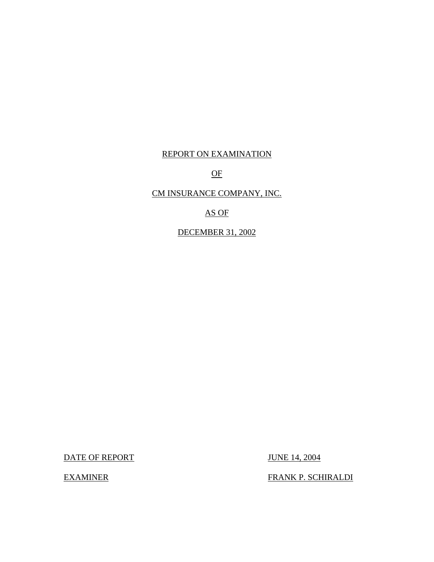# REPORT ON EXAMINATION

OF

# CM INSURANCE COMPANY, INC.

AS OF

DECEMBER 31, 2002

DATE OF REPORT JUNE 14, 2004

EXAMINER FRANK P. SCHIRALDI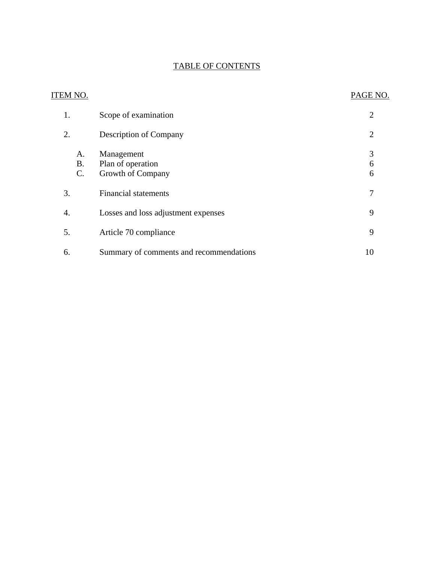# TABLE OF CONTENTS

| ITEM NO.                           |                                                      | PAGE NO.       |
|------------------------------------|------------------------------------------------------|----------------|
| 1.                                 | Scope of examination                                 | $\overline{2}$ |
| 2.                                 | <b>Description of Company</b>                        | $\overline{2}$ |
| A.<br><b>B.</b><br>$\mathcal{C}$ . | Management<br>Plan of operation<br>Growth of Company | 3<br>6<br>6    |
| 3.                                 | <b>Financial statements</b>                          | 7              |
| 4.                                 | Losses and loss adjustment expenses                  | 9              |
| 5.                                 | Article 70 compliance                                | 9              |
| 6.                                 | Summary of comments and recommendations              | 10             |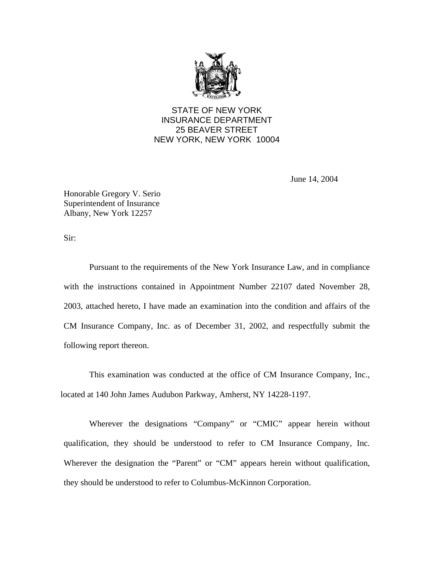

# STATE OF NEW YORK INSURANCE DEPARTMENT 25 BEAVER STREET NEW YORK, NEW YORK 10004

June 14, 2004

Honorable Gregory V. Serio Superintendent of Insurance Albany, New York 12257

Sir:

Pursuant to the requirements of the New York Insurance Law, and in compliance with the instructions contained in Appointment Number 22107 dated November 28, 2003, attached hereto, I have made an examination into the condition and affairs of the CM Insurance Company, Inc. as of December 31, 2002, and respectfully submit the following report thereon.

This examination was conducted at the office of CM Insurance Company, Inc., located at 140 John James Audubon Parkway, Amherst, NY 14228-1197.

Wherever the designations "Company" or "CMIC" appear herein without qualification, they should be understood to refer to CM Insurance Company, Inc. Wherever the designation the "Parent" or "CM" appears herein without qualification, they should be understood to refer to Columbus-McKinnon Corporation.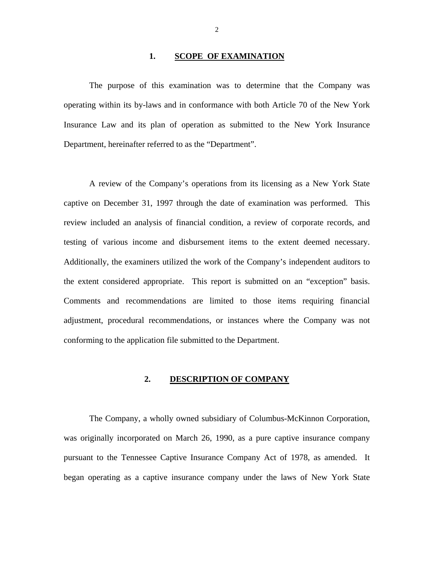#### 1. **SCOPE OF EXAMINATION**

<span id="page-3-0"></span>The purpose of this examination was to determine that the Company was operating within its by-laws and in conformance with both Article 70 of the New York Insurance Law and its plan of operation as submitted to the New York Insurance Department, hereinafter referred to as the "Department".

A review of the Company's operations from its licensing as a New York State captive on December 31, 1997 through the date of examination was performed. This review included an analysis of financial condition, a review of corporate records, and testing of various income and disbursement items to the extent deemed necessary. Additionally, the examiners utilized the work of the Company's independent auditors to the extent considered appropriate. This report is submitted on an "exception" basis. Comments and recommendations are limited to those items requiring financial adjustment, procedural recommendations, or instances where the Company was not conforming to the application file submitted to the Department.

### **2. DESCRIPTION OF COMPANY**

The Company, a wholly owned subsidiary of Columbus-McKinnon Corporation, was originally incorporated on March 26, 1990, as a pure captive insurance company pursuant to the Tennessee Captive Insurance Company Act of 1978, as amended. It began operating as a captive insurance company under the laws of New York State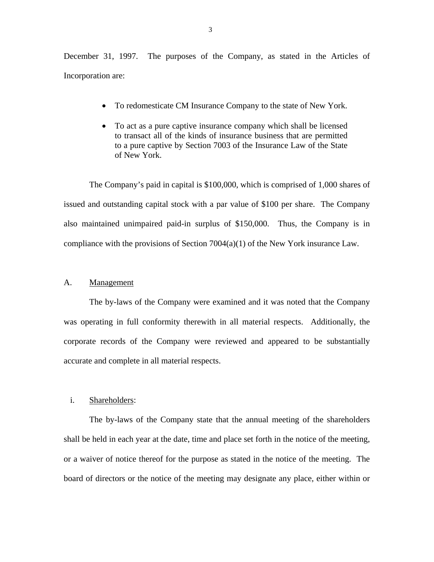<span id="page-4-0"></span>December 31, 1997. The purposes of the Company, as stated in the Articles of Incorporation are:

- To redomesticate CM Insurance Company to the state of New York.
- To act as a pure captive insurance company which shall be licensed to transact all of the kinds of insurance business that are permitted to a pure captive by Section 7003 of the Insurance Law of the State of New York.

The Company's paid in capital is \$100,000, which is comprised of 1,000 shares of issued and outstanding capital stock with a par value of \$100 per share. The Company also maintained unimpaired paid-in surplus of \$150,000. Thus, the Company is in compliance with the provisions of Section 7004(a)(1) of the New York insurance Law.

#### A. Management

The by-laws of the Company were examined and it was noted that the Company was operating in full conformity therewith in all material respects. Additionally, the corporate records of the Company were reviewed and appeared to be substantially accurate and complete in all material respects.

#### i. Shareholders:

The by-laws of the Company state that the annual meeting of the shareholders shall be held in each year at the date, time and place set forth in the notice of the meeting, or a waiver of notice thereof for the purpose as stated in the notice of the meeting. The board of directors or the notice of the meeting may designate any place, either within or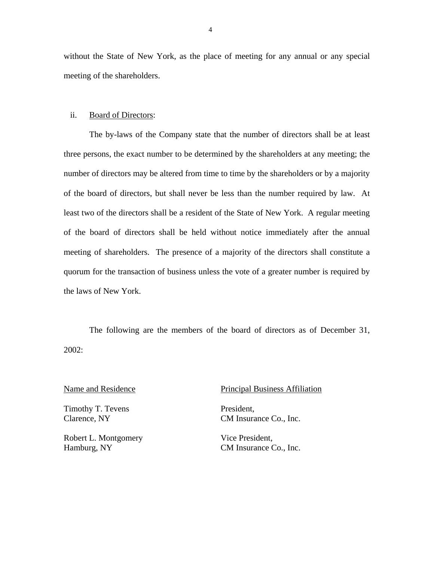without the State of New York, as the place of meeting for any annual or any special meeting of the shareholders.

#### ii. Board of Directors:

The by-laws of the Company state that the number of directors shall be at least three persons, the exact number to be determined by the shareholders at any meeting; the number of directors may be altered from time to time by the shareholders or by a majority of the board of directors, but shall never be less than the number required by law. At least two of the directors shall be a resident of the State of New York. A regular meeting of the board of directors shall be held without notice immediately after the annual meeting of shareholders. The presence of a majority of the directors shall constitute a quorum for the transaction of business unless the vote of a greater number is required by the laws of New York.

The following are the members of the board of directors as of December 31, 2002:

Timothy T. Tevens President,

Robert L. Montgomery Vice President, Hamburg, NY CM Insurance Co., Inc.

#### Name and Residence Principal Business Affiliation

Clarence, NY CM Insurance Co., Inc.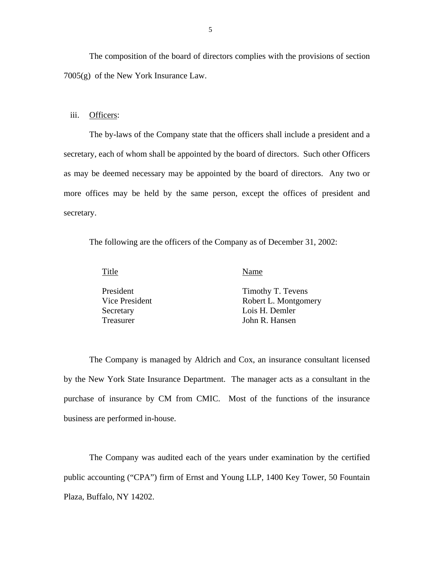The composition of the board of directors complies with the provisions of section 7005(g) of the New York Insurance Law.

#### iii. Officers:

The by-laws of the Company state that the officers shall include a president and a secretary, each of whom shall be appointed by the board of directors. Such other Officers as may be deemed necessary may be appointed by the board of directors. Any two or more offices may be held by the same person, except the offices of president and secretary.

The following are the officers of the Company as of December 31, 2002:

Title Name

| President      | Timothy T. Tevens    |
|----------------|----------------------|
| Vice President | Robert L. Montgomery |
| Secretary      | Lois H. Demler       |
| Treasurer      | John R. Hansen       |

The Company is managed by Aldrich and Cox, an insurance consultant licensed by the New York State Insurance Department. The manager acts as a consultant in the purchase of insurance by CM from CMIC. Most of the functions of the insurance business are performed in-house.

The Company was audited each of the years under examination by the certified public accounting ("CPA") firm of Ernst and Young LLP, 1400 Key Tower, 50 Fountain Plaza, Buffalo, NY 14202.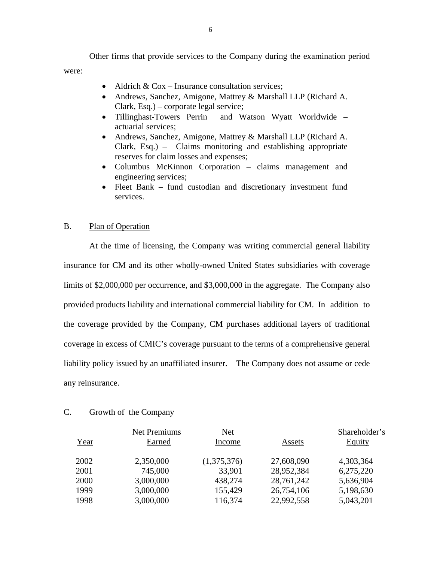<span id="page-7-0"></span>Other firms that provide services to the Company during the examination period were:

- Aldrich  $& Cox Insurance consultation services;$
- Andrews, Sanchez, Amigone, Mattrey & Marshall LLP (Richard A. Clark, Esq.) – corporate legal service;
- Tillinghast-Towers Perrin and Watson Wyatt Worldwide actuarial services;
- Andrews, Sanchez, Amigone, Mattrey & Marshall LLP (Richard A. Clark, Esq.) – Claims monitoring and establishing appropriate reserves for claim losses and expenses;
- Columbus McKinnon Corporation claims management and engineering services;
- Fleet Bank fund custodian and discretionary investment fund services.

### B. Plan of Operation

At the time of licensing, the Company was writing commercial general liability insurance for CM and its other wholly-owned United States subsidiaries with coverage limits of \$2,000,000 per occurrence, and \$3,000,000 in the aggregate. The Company also provided products liability and international commercial liability for CM. In addition to the coverage provided by the Company, CM purchases additional layers of traditional coverage in excess of CMIC's coverage pursuant to the terms of a comprehensive general liability policy issued by an unaffiliated insurer. The Company does not assume or cede any reinsurance.

#### C. Growth of the Company

| Year | <b>Net Premiums</b><br>Earned | <b>Net</b><br>Income | Assets     | Shareholder's<br>Equity |
|------|-------------------------------|----------------------|------------|-------------------------|
| 2002 | 2,350,000                     | (1,375,376)          | 27,608,090 | 4,303,364               |
| 2001 | 745,000                       | 33,901               | 28,952,384 | 6,275,220               |
| 2000 | 3,000,000                     | 438,274              | 28,761,242 | 5,636,904               |
| 1999 | 3,000,000                     | 155,429              | 26,754,106 | 5,198,630               |
| 1998 | 3,000,000                     | 116,374              | 22,992,558 | 5,043,201               |
|      |                               |                      |            |                         |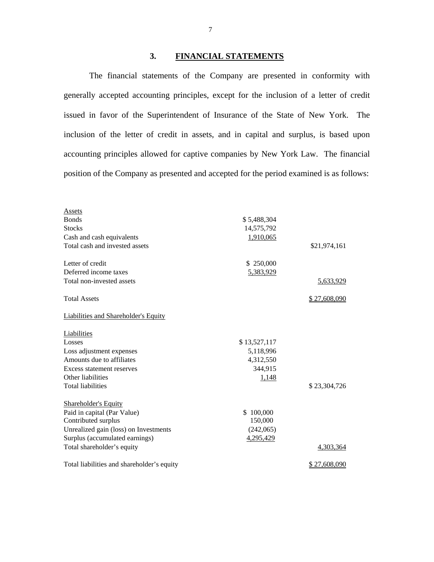## **3. FINANCIAL STATEMENTS**

The financial statements of the Company are presented in conformity with generally accepted accounting principles, except for the inclusion of a letter of credit issued in favor of the Superintendent of Insurance of the State of New York. The inclusion of the letter of credit in assets, and in capital and surplus, is based upon accounting principles allowed for captive companies by New York Law. The financial position of the Company as presented and accepted for the period examined is as follows:

| <b>Assets</b>                               |              |              |
|---------------------------------------------|--------------|--------------|
| <b>Bonds</b>                                | \$5,488,304  |              |
| <b>Stocks</b>                               | 14,575,792   |              |
| Cash and cash equivalents                   | 1,910,065    |              |
| Total cash and invested assets              |              | \$21,974,161 |
| Letter of credit                            | \$250,000    |              |
| Deferred income taxes                       | 5,383,929    |              |
| Total non-invested assets                   |              | 5,633,929    |
| <b>Total Assets</b>                         |              | \$27,608,090 |
| <b>Liabilities and Shareholder's Equity</b> |              |              |
| Liabilities                                 |              |              |
| Losses                                      | \$13,527,117 |              |
| Loss adjustment expenses                    | 5,118,996    |              |
| Amounts due to affiliates                   | 4,312,550    |              |
| Excess statement reserves                   | 344,915      |              |
| Other liabilities                           | 1,148        |              |
| <b>Total liabilities</b>                    |              | \$23,304,726 |
| <b>Shareholder's Equity</b>                 |              |              |
| Paid in capital (Par Value)                 | \$100,000    |              |
| Contributed surplus                         | 150,000      |              |
| Unrealized gain (loss) on Investments       | (242,065)    |              |
| Surplus (accumulated earnings)              | 4,295,429    |              |
| Total shareholder's equity                  |              | 4,303,364    |
| Total liabilities and shareholder's equity  |              | \$27,608,090 |

7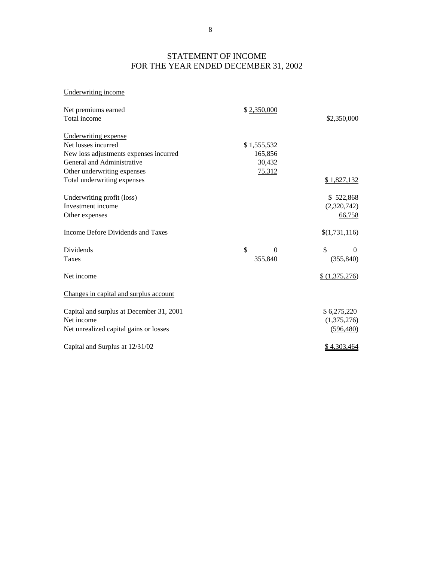# STATEMENT OF INCOME FOR THE YEAR ENDED DECEMBER 31, 2002

#### Underwriting income

| Net premiums earned<br>Total income      | \$2,350,000    | \$2,350,000    |
|------------------------------------------|----------------|----------------|
| Underwriting expense                     |                |                |
| Net losses incurred                      | \$1,555,532    |                |
| New loss adjustments expenses incurred   | 165,856        |                |
| General and Administrative               | 30,432         |                |
| Other underwriting expenses              | 75,312         |                |
| Total underwriting expenses              |                | \$1,827,132    |
| Underwriting profit (loss)               |                | \$522,868      |
| Investment income                        |                | (2,320,742)    |
| Other expenses                           |                | 66,758         |
| Income Before Dividends and Taxes        |                | \$(1,731,116)  |
| Dividends                                | \$<br>$\Omega$ | \$<br>$\theta$ |
| <b>Taxes</b>                             | 355,840        | (355, 840)     |
| Net income                               |                | \$(1,375,276)  |
| Changes in capital and surplus account   |                |                |
| Capital and surplus at December 31, 2001 |                | \$6,275,220    |
| Net income                               |                | (1,375,276)    |
| Net unrealized capital gains or losses   |                | (596, 480)     |
| Capital and Surplus at 12/31/02          |                | \$4,303,464    |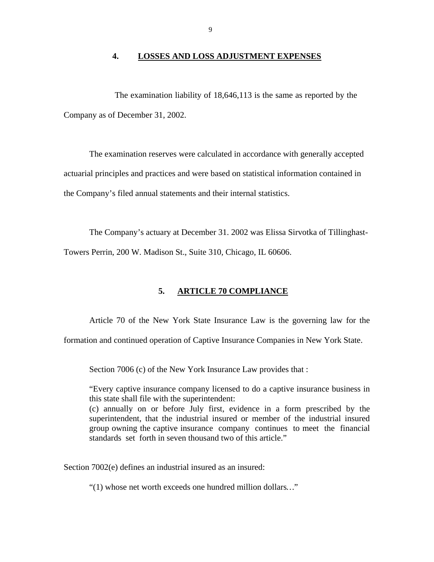#### **4. LOSSES AND LOSS ADJUSTMENT EXPENSES**

<span id="page-10-0"></span>The examination liability of 18,646,113 is the same as reported by the Company as of December 31, 2002.

The examination reserves were calculated in accordance with generally accepted actuarial principles and practices and were based on statistical information contained in the Company's filed annual statements and their internal statistics.

The Company's actuary at December 31. 2002 was Elissa Sirvotka of Tillinghast-

Towers Perrin, 200 W. Madison St., Suite 310, Chicago, IL 60606.

#### **5. ARTICLE 70 COMPLIANCE**

Article 70 of the New York State Insurance Law is the governing law for the

formation and continued operation of Captive Insurance Companies in New York State.

Section 7006 (c) of the New York Insurance Law provides that :

"Every captive insurance company licensed to do a captive insurance business in this state shall file with the superintendent:

(c) annually on or before July first, evidence in a form prescribed by the superintendent, that the industrial insured or member of the industrial insured group owning the captive insurance company continues to meet the financial standards set forth in seven thousand two of this article."

Section 7002(e) defines an industrial insured as an insured:

"(1) whose net worth exceeds one hundred million dollars*…*"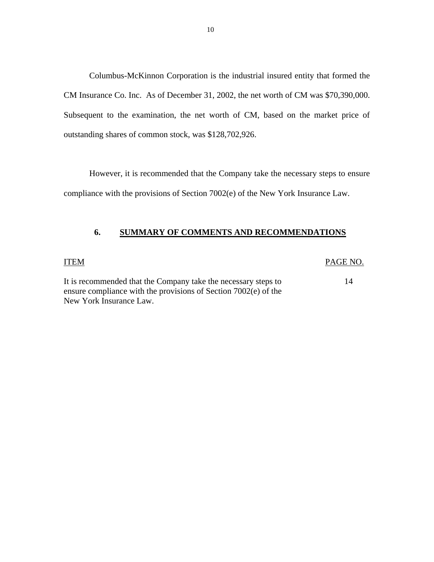Columbus-McKinnon Corporation is the industrial insured entity that formed the CM Insurance Co. Inc. As of December 31, 2002, the net worth of CM was \$70,390,000. Subsequent to the examination, the net worth of CM, based on the market price of outstanding shares of common stock, was \$128,702,926.

However, it is recommended that the Company take the necessary steps to ensure compliance with the provisions of Section 7002(e) of the New York Insurance Law.

### **6. SUMMARY OF COMMENTS AND RECOMMENDATIONS**

ITEM PAGE NO.

14

It is recommended that the Company take the necessary steps to ensure compliance with the provisions of Section 7002(e) of the New York Insurance Law.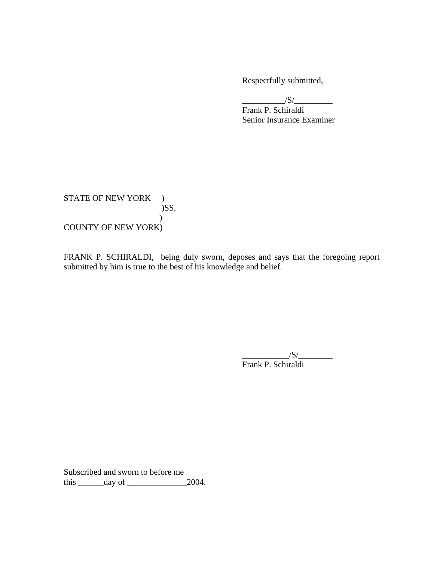Respectfully submitted,

 $\frac{|S|}{|S|}$ Frank P. Schiraldi Senior Insurance Examiner

STATE OF NEW YORK ) )SS.  $\mathcal{L}$ COUNTY OF NEW YORK)

FRANK P. SCHIRALDI, being duly sworn, deposes and says that the foregoing report submitted by him is true to the best of his knowledge and belief.

 $\overline{\phantom{a}151}$   $\overline{\phantom{a}151}$   $\overline{\phantom{a}151}$   $\overline{\phantom{a}151}$   $\overline{\phantom{a}151}$   $\overline{\phantom{a}151}$   $\overline{\phantom{a}151}$   $\overline{\phantom{a}151}$   $\overline{\phantom{a}151}$   $\overline{\phantom{a}151}$   $\overline{\phantom{a}151}$   $\overline{\phantom{a}151}$   $\overline{\phantom{a}151}$   $\overline{\phantom{a}151$ Frank P. Schiraldi

Subscribed and sworn to before me this \_\_\_\_\_\_day of \_\_\_\_\_\_\_\_\_\_\_\_\_\_2004.